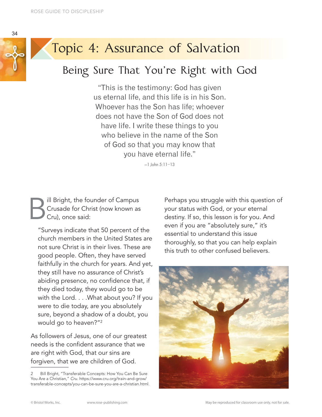



# Topic 4: Assurance of Salvation

### Being Sure That You're Right with God

"This is the testimony: God has given us eternal life, and this life is in his Son. Whoever has the Son has life; whoever does not have the Son of God does not have life. I write these things to you who believe in the name of the Son of God so that you may know that you have eternal life."

—1 John 5:11–13

**B**ill Bright, the founder of Campus<br>Crusade for Christ (now known as<br>Cru), once said: Crusade for Christ (now known as Cru), once said:

"Surveys indicate that 50 percent of the church members in the United States are not sure Christ is in their lives. These are good people. Often, they have served faithfully in the church for years. And yet, they still have no assurance of Christ's abiding presence, no confidence that, if they died today, they would go to be with the Lord. . . .What about you? If you were to die today, are you absolutely sure, beyond a shadow of a doubt, you would go to heaven?"2

As followers of Jesus, one of our greatest needs is the confident assurance that we are right with God, that our sins are forgiven, that we are children of God.

Perhaps you struggle with this question of your status with God, or your eternal destiny. If so, this lesson is for you. And even if you are "absolutely sure," it's essential to understand this issue thoroughly, so that you can help explain this truth to other confused believers.



<sup>2</sup> Bill Bright, "Transferable Concepts: How You Can Be Sure You Are a Christian," *Cru*. https://www.cru.org/train-and-grow/ transferable-concepts/you-can-be-sure-you-are-a-christian.html.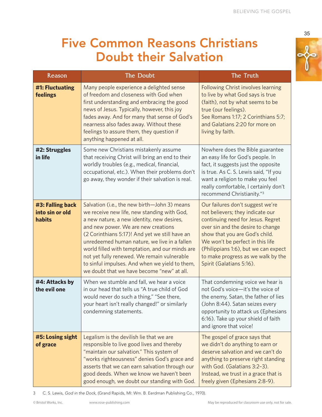## Five Common Reasons Christians Doubt their Salvation

| Reason                                        | The Doubt                                                                                                                                                                                                                                                                                                                                                                                                                                                                            | The Truth                                                                                                                                                                                                                                                                                                                      |
|-----------------------------------------------|--------------------------------------------------------------------------------------------------------------------------------------------------------------------------------------------------------------------------------------------------------------------------------------------------------------------------------------------------------------------------------------------------------------------------------------------------------------------------------------|--------------------------------------------------------------------------------------------------------------------------------------------------------------------------------------------------------------------------------------------------------------------------------------------------------------------------------|
| #1: Fluctuating<br>feelings                   | Many people experience a delighted sense<br>of freedom and closeness with God when<br>first understanding and embracing the good<br>news of Jesus. Typically, however, this joy<br>fades away. And for many that sense of God's<br>nearness also fades away. Without these<br>feelings to assure them, they question if<br>anything happened at all.                                                                                                                                 | <b>Following Christ involves learning</b><br>to live by what God says is true<br>(faith), not by what seems to be<br>true (our feelings).<br>See Romans 1:17; 2 Corinthians 5:7;<br>and Galatians 2:20 for more on<br>living by faith.                                                                                         |
| #2: Struggles<br>in life                      | Some new Christians mistakenly assume<br>that receiving Christ will bring an end to their<br>worldly troubles (e.g., medical, financial,<br>occupational, etc.). When their problems don't<br>go away, they wonder if their salvation is real.                                                                                                                                                                                                                                       | Nowhere does the Bible guarantee<br>an easy life for God's people. In<br>fact, it suggests just the opposite<br>is true. As C. S. Lewis said, "If you<br>want a religion to make you feel<br>really comfortable, I certainly don't<br>recommend Christianity."3                                                                |
| #3: Falling back<br>into sin or old<br>habits | Salvation (i.e., the new birth-John 3) means<br>we receive new life, new standing with God,<br>a new nature, a new identity, new desires,<br>and new power. We are new creations<br>(2 Corinthians 5:17)! And yet we still have an<br>unredeemed human nature, we live in a fallen<br>world filled with temptation, and our minds are<br>not yet fully renewed. We remain vulnerable<br>to sinful impulses. And when we yield to them,<br>we doubt that we have become "new" at all. | Our failures don't suggest we're<br>not believers; they indicate our<br>continuing need for Jesus. Regret<br>over sin and the desire to change<br>show that you are God's child.<br>We won't be perfect in this life<br>(Philippians 1:6), but we can expect<br>to make progress as we walk by the<br>Spirit (Galatians 5:16). |
| #4: Attacks by<br>the evil one                | When we stumble and fall, we hear a voice<br>in our head that tells us "A true child of God<br>would never do such a thing," "See there,<br>your heart isn't really changed!" or similarly<br>condemning statements.                                                                                                                                                                                                                                                                 | That condemning voice we hear is<br>not God's voice-it's the voice of<br>the enemy, Satan, the father of lies<br>(John 8:44). Satan seizes every<br>opportunity to attack us (Ephesians<br>6:16). Take up your shield of faith<br>and ignore that voice!                                                                       |
| #5: Losing sight<br>of grace                  | Legalism is the devilish lie that we are<br>responsible to live good lives and thereby<br>"maintain our salvation." This system of<br>"works righteousness" denies God's grace and<br>asserts that we can earn salvation through our<br>good deeds. When we know we haven't been<br>good enough, we doubt our standing with God.                                                                                                                                                     | The gospel of grace says that<br>we didn't do anything to earn or<br>deserve salvation and we can't do<br>anything to preserve right standing<br>with God. (Galatians 3:2-3).<br>Instead, we trust in a grace that is<br>freely given (Ephesians 2:8-9).                                                                       |

3 C. S. Lewis, *God in the Dock*, (Grand Rapids, MI: Wm. B. Eerdman Publishing Co., 1970).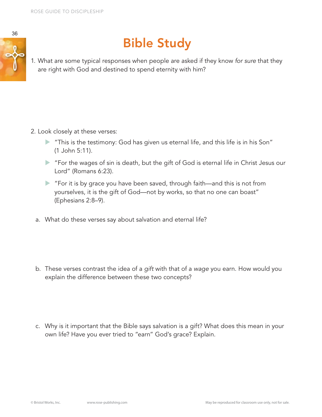



# Bible Study

1. What are some typical responses when people are asked if they know *for sure* that they are right with God and destined to spend eternity with him?

- 2. Look closely at these verses:
	- $\blacktriangleright$  "This is the testimony: God has given us eternal life, and this life is in his Son" (1 John 5:11).
	- ▶ "For the wages of sin is death, but the gift of God is eternal life in Christ Jesus our Lord" (Romans 6:23).
	- ▶ "For it is by grace you have been saved, through faith—and this is not from yourselves, it is the gift of God—not by works, so that no one can boast" (Ephesians 2:8–9).
	- a. What do these verses say about salvation and eternal life?

- b. These verses contrast the idea of a *gift* with that of a *wage* you earn. How would you explain the difference between these two concepts?
- c. Why is it important that the Bible says salvation is a gift? What does this mean in your own life? Have you ever tried to "earn" God's grace? Explain.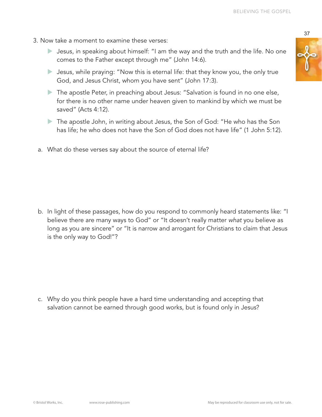- 3. Now take a moment to examine these verses:
	- So Jesus, in speaking about himself: "I am the way and the truth and the life. No one comes to the Father except through me" (John 14:6).
	- $\blacktriangleright$  Jesus, while praying: "Now this is eternal life: that they know you, the only true God, and Jesus Christ, whom you have sent" (John 17:3).
	- $\blacktriangleright$  The apostle Peter, in preaching about Jesus: "Salvation is found in no one else, for there is no other name under heaven given to mankind by which we must be saved" (Acts 4:12).
	- The apostle John, in writing about Jesus, the Son of God: "He who has the Son has life; he who does not have the Son of God does not have life" (1 John 5:12).
	- a. What do these verses say about the source of eternal life?

b. In light of these passages, how do you respond to commonly heard statements like: "I believe there are many ways to God" or "It doesn't really matter *what* you believe as long as you are sincere" or "It is narrow and arrogant for Christians to claim that Jesus is the only way to God!"?

c. Why do you think people have a hard time understanding and accepting that salvation cannot be earned through good works, but is found only in Jesus?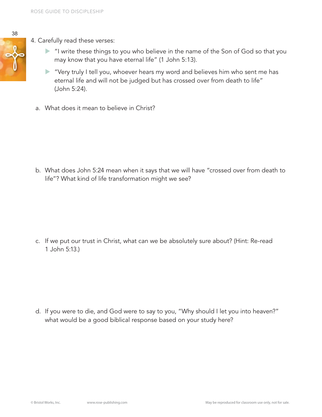- 4. Carefully read these verses:
	- X "I write these things to you who believe in the name of the Son of God so that you may know that you have eternal life" (1 John 5:13).
	- $\triangleright$  "Very truly I tell you, whoever hears my word and believes him who sent me has eternal life and will not be judged but has crossed over from death to life" (John 5:24).
	- a. What does it mean to believe in Christ?

b. What does John 5:24 mean when it says that we will have "crossed over from death to life"? What kind of life transformation might we see?

c. If we put our trust in Christ, what can we be absolutely sure about? (Hint: Re-read 1 John 5:13.)

d. If you were to die, and God were to say to you, "Why should I let you into heaven?" what would be a good biblical response based on your study here?